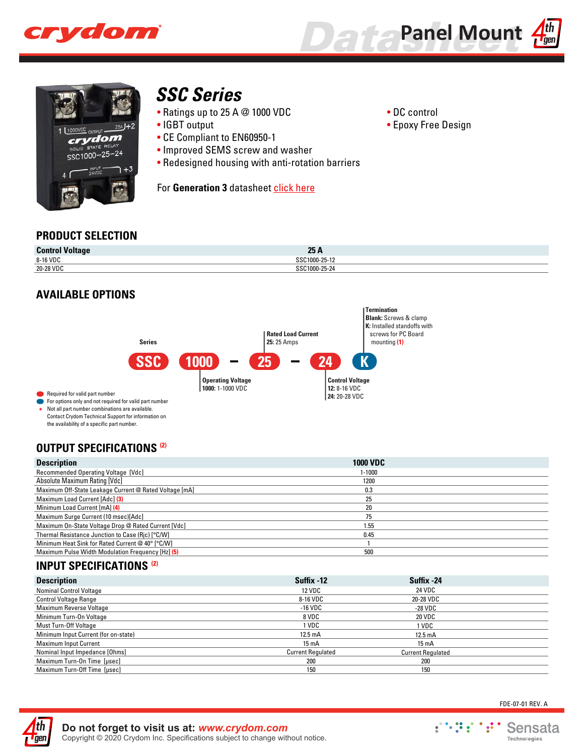





# *[SSC Series](http://www.crydom.com/en/products/panel-mount/dc-output-ssr/ssc-series/)*

- Ratings up to 25 A @ 1000 VDC
- IGBT output
- CE Compliant to EN60950-1
- Improved SEMS screw and washer
- Redesigned housing with anti-rotation barriers

For Generation 3 datashee[t click here](http://www.crydom.com/en/products/generations.shtml)

- DC control
- Epoxy Free Design

## **PRODUCT SELECTION**

| <b>Control Voltage</b> | 25A           |
|------------------------|---------------|
| 8-16 VDC               | SSC1000-25-12 |
| 20-28 VDC              | SSC1000-25-24 |

# **AVAILABLE OPTIONS**



Not all part number combinations are available. Contact Crydom Technical Support for information on the availability of a specific part number. **\***

Required for valid part number

# **OUTPUT SPECIFICATIONS (2)**

| <b>Description</b>                                     | <b>1000 VDC</b> |  |
|--------------------------------------------------------|-----------------|--|
| Recommended Operating Voltage [Vdc]                    | 1-1000          |  |
| Absolute Maximum Rating [Vdc]                          | 1200            |  |
| Maximum Off-State Leakage Current @ Rated Voltage [mA] | 0.3             |  |
| <b>Maximum Load Current [Adc] (3)</b>                  | 25              |  |
| Minimum Load Current [mA] (4)                          | 20              |  |
| Maximum Surge Current (10 msec) [Adc]                  | 75              |  |
| Maximum On-State Voltage Drop @ Rated Current [Vdc]    | 1.55            |  |
| Thermal Resistance Junction to Case (Ric) [°C/W]       | 0.45            |  |
| Minimum Heat Sink for Rated Current @ 40° [°C/W]       |                 |  |
| Maximum Pulse Width Modulation Frequency [Hz] (5)      | 500             |  |

# **INPUT SPECIFICATIONS (2)**

| <b>Description</b>                   | Suffix -12               | Suffix -24               |  |
|--------------------------------------|--------------------------|--------------------------|--|
| <b>Nominal Control Voltage</b>       | <b>12 VDC</b>            | 24 VDC                   |  |
| <b>Control Voltage Range</b>         | 8-16 VDC                 | 20-28 VDC                |  |
| <b>Maximum Reverse Voltage</b>       | $-16$ VDC                | -28 VDC                  |  |
| Minimum Turn-On Voltage              | 8 VDC                    | 20 VDC                   |  |
| Must Turn-Off Voltage                | 1 VDC                    | 1 VDC                    |  |
| Minimum Input Current (for on-state) | $12.5 \text{ mA}$        | $12.5 \text{ mA}$        |  |
| <b>Maximum Input Current</b>         | $15 \text{ mA}$          | $15 \text{ mA}$          |  |
| Nominal Input Impedance [Ohms]       | <b>Current Regulated</b> | <b>Current Requlated</b> |  |
| Maximum Turn-On Time [µsec]          | 200                      | 200                      |  |
| Maximum Turn-Off Time [usec]         | 150                      | 150                      |  |



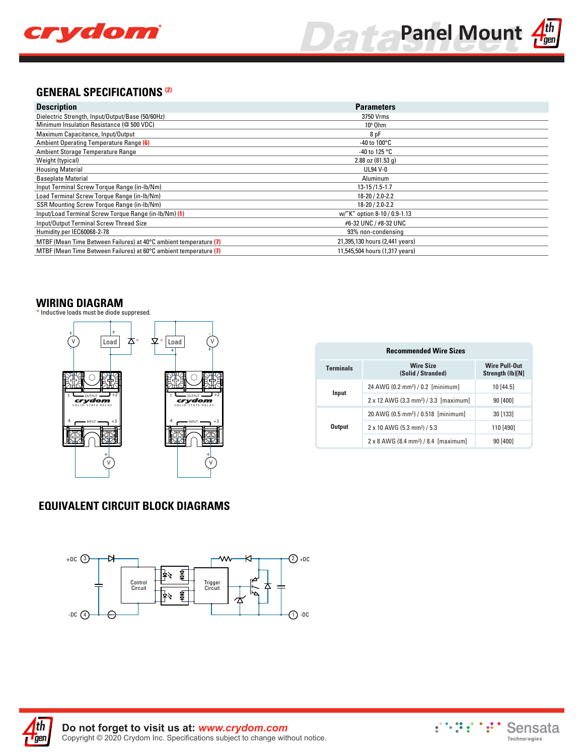



#### **GENERAL SPECIFICATIONS (2)**

| <b>Description</b>                                                | <b>Parameters</b>              |
|-------------------------------------------------------------------|--------------------------------|
| Dielectric Strength, Input/Output/Base (50/60Hz)                  | 3750 Vrms                      |
| Minimum Insulation Resistance (@ 500 VDC)                         | $109$ Ohm                      |
| Maximum Capacitance, Input/Output                                 | 8 pF                           |
| Ambient Operating Temperature Range (6)                           | -40 to $100^{\circ}$ C         |
| Ambient Storage Temperature Range                                 | -40 to 125 $^{\circ}$ C        |
| Weight (typical)                                                  | $2.88$ oz $(81.53q)$           |
| <b>Housing Material</b>                                           | <b>UL94 V-0</b>                |
| <b>Baseplate Material</b>                                         | Aluminum                       |
| Input Terminal Screw Torque Range (in-Ib/Nm)                      | $13 - 15/1.5 - 1.7$            |
| Load Terminal Screw Torque Range (in-lb/Nm)                       | 18-20 / 2.0-2.2                |
| SSR Mounting Screw Torque Range (in-lb/Nm)                        | $18 - 20 / 2.0 - 2.2$          |
| Input/Load Terminal Screw Torque Range (in-lb/Nm) (1)             | w/"K" option 8-10 / 0.9-1.13   |
| Input/Output Terminal Screw Thread Size                           | #6-32 UNC / #8-32 UNC          |
| Humidity per IEC60068-2-78                                        | 93% non-condensing             |
| MTBF (Mean Time Between Failures) at 40°C ambient temperature (7) | 21,395,130 hours (2,441 years) |
| MTBF (Mean Time Between Failures) at 60°C ambient temperature (7) | 11,545,504 hours (1,317 years) |

#### **WIRING DIAGRAM**

\* Inductive loads must be diode suppresed.



| <b>Recommended Wire Sizes</b> |                                                         |                                          |  |  |  |
|-------------------------------|---------------------------------------------------------|------------------------------------------|--|--|--|
| <b>Terminals</b>              | <b>Wire Size</b><br>(Solid / Stranded)                  | <b>Wire Pull-Out</b><br>Strength (Ib)[N] |  |  |  |
|                               | 24 AWG (0.2 mm <sup>2</sup> ) / 0.2 [minimum]           | 10 [44.5]                                |  |  |  |
| Input                         | 2 x 12 AWG (3.3 mm <sup>2</sup> ) / 3.3 [maximum]       | 90[400]                                  |  |  |  |
|                               | 20 AWG (0.5 mm <sup>2</sup> ) / 0.518 [minimum]         | 30 [133]                                 |  |  |  |
| <b>Output</b>                 | 2 x 10 AWG (5.3 mm <sup>2</sup> ) / 5.3                 | 110 [490]                                |  |  |  |
|                               | $2 \times 8$ AWG (8.4 mm <sup>2</sup> ) / 8.4 [maximum] | 90[400]                                  |  |  |  |

# **EQUIVALENT CIRCUIT BLOCK DIAGRAMS**





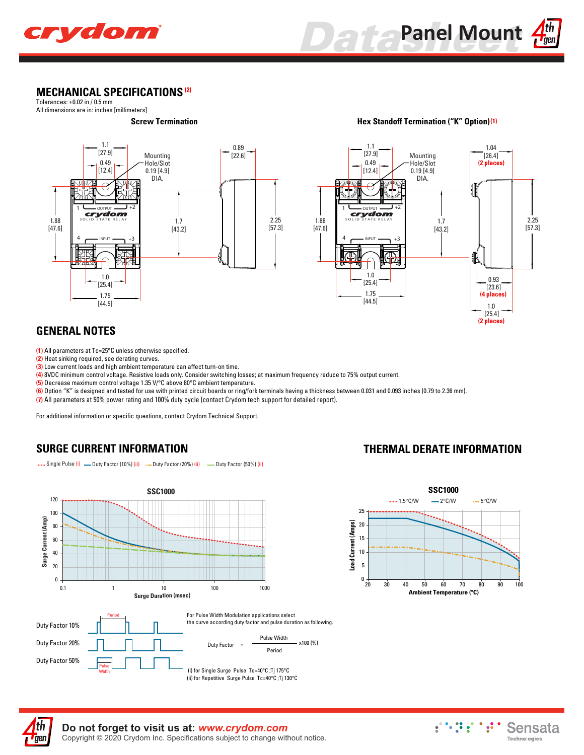



#### **MECHANICAL SPECIFICATIONS (2)**

Tolerances: ±0.02 in / 0.5 mm All dimensions are in: inches [millimeters]



#### **(1) Hex Standoff Termination ("K" Option)**



# **GENERAL NOTES**

**(1)** All parameters at Tc=25°C unless otherwise specified.

**(2)** Heat sinking required, see derating curves.

**(3)** Low current loads and high ambient temperature can affect turn-on time.

**(4)** 8VDC minimum control voltage. Resistive loads only. Consider switching losses; at maximum frequency reduce to 75% output current.

**(5)** Decrease maximum control voltage 1.35 V/°C above 80°C ambient temperature.

**(6)** Option "K" is designed and tested for use with printed circuit boards or ring/fork terminals having a thickness between 0.031 and 0.093 inches (0.79 to 2.36 mm).

**(7)** All parameters at 50% power rating and 100% duty cycle (contact Crydom tech support for detailed report).

For additional information or specific questions, contact Crydom Technical Support.

--- Single Pulse (i) - Duty Factor (10%) (ii) - Duty Factor (20%) (ii) - Duty Factor (50%) (ii)

## **SURGE CURRENT INFORMATION**



#### **THERMAL DERATE INFORMATION**





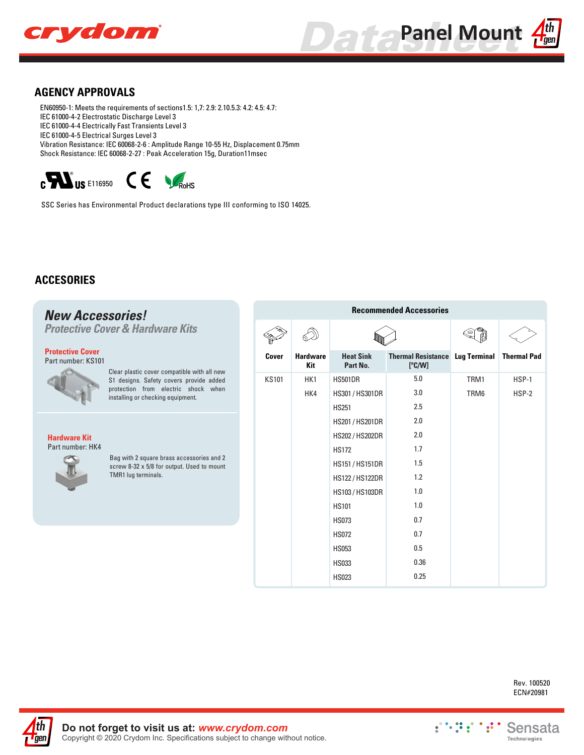



#### **AGENCY APPROVALS**

EN60950-1: Meets the requirements of sections1.5: 1,7: 2.9: 2.10.5.3: 4.2: 4.5: 4.7: IEC 61000-4-2 Electrostatic Discharge Level 3 IEC 61000-4-4 Electrically Fast Transients Level 3 IEC 61000-4-5 Electrical Surges Level 3 Vibration Resistance: IEC 60068-2-6 : Amplitude Range 10-55 Hz, Displacement 0.75mm Shock Resistance: IEC 60068-2-27 : Peak Acceleration 15g, Duration11msec

 $\mathbf{c}$   $\mathbf{W}_{\text{US E116950}}$   $\mathbf{C}$   $\mathbf{C}$ 

SSC Series has Environmental Product declarations type III conforming to ISO 14025.

#### **ACCESORIES**

**T**gen

#### **Recommended Accessories** *New Accessories! Protective Cover & Hardware Kits* D **Protective Cover Cover Hardware Heat Sink Thermal Resistance Lug Terminal Thermal Pad** Part number: KS101 **Part No. Kit [ºC/W]** Clear plastic cover compatible with all new 5.0 KS101 HK1 HS501DR TRM1 HSP-1 S1 designs. Safety covers provide added protection from electric shock when 3.0 HK4 HS301 / HS301DR TRM6 HSP-2 installing or checking equipment. HS251 2.5 2.0 HS201 / HS201DR 2.0 HS202 / HS202DR **Hardware Kit** Part number: HK4 HS172 1.7 Bag with 2 square brass accessories and 2 HS151 / HS151DR 1.5 screw 8-32 x 5/8 for output. Used to mount TMR1 lug terminals. HS122 / HS122DR 1.2 HS103 / HS103DR 1.0 HS101 1.0 HS073 0.7 0.7 HS072 HS053 0.5

HS033 HS023 0.36 0.25

> Rev. 100520 ECN#20981

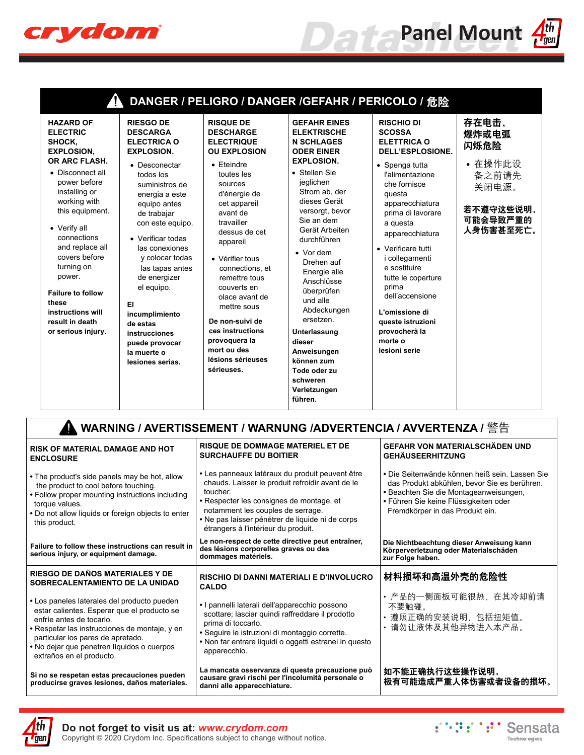

|  | ı. |
|--|----|
|  | PП |
|  |    |

| 4                                                                                                                                                                                                                                                                                                                                                                         |                                                                                                                                                                                                                                                                                                                                                                                                                          |                                                                                                                                                                                                                                                                                                                                                                                                                                         | DANGER / PELIGRO / DANGER /GEFAHR / PERICOLO / 危险                                                                                                                                                                                                                                                                                                                                                                                                                      |                                                                                                                                                                                                                                                                                                                                                                                                                         |                                                                                                                                                                                                                      |  |
|---------------------------------------------------------------------------------------------------------------------------------------------------------------------------------------------------------------------------------------------------------------------------------------------------------------------------------------------------------------------------|--------------------------------------------------------------------------------------------------------------------------------------------------------------------------------------------------------------------------------------------------------------------------------------------------------------------------------------------------------------------------------------------------------------------------|-----------------------------------------------------------------------------------------------------------------------------------------------------------------------------------------------------------------------------------------------------------------------------------------------------------------------------------------------------------------------------------------------------------------------------------------|------------------------------------------------------------------------------------------------------------------------------------------------------------------------------------------------------------------------------------------------------------------------------------------------------------------------------------------------------------------------------------------------------------------------------------------------------------------------|-------------------------------------------------------------------------------------------------------------------------------------------------------------------------------------------------------------------------------------------------------------------------------------------------------------------------------------------------------------------------------------------------------------------------|----------------------------------------------------------------------------------------------------------------------------------------------------------------------------------------------------------------------|--|
| <b>HAZARD OF</b><br><b>ELECTRIC</b><br>SHOCK,<br><b>EXPLOSION,</b><br>OR ARC FLASH.<br>• Disconnect all<br>power before<br>installing or<br>working with<br>this equipment.<br>• Verify all<br>connections<br>and replace all<br>covers before<br>turning on<br>power.<br><b>Failure to follow</b><br>these<br>instructions will<br>result in death<br>or serious injury. | <b>RIESGO DE</b><br><b>DESCARGA</b><br><b>ELECTRICA O</b><br><b>EXPLOSION.</b><br>• Desconectar<br>todos los<br>suministros de<br>energia a este<br>equipo antes<br>de trabajar<br>con este equipo.<br>• Verificar todas<br>las conexiones<br>y colocar todas<br>las tapas antes<br>de energizer<br>el equipo.<br>EI<br>incumplimiento<br>de estas<br>instrucciones<br>puede provocar<br>la muerte o<br>lesiones serias. | <b>RISQUE DE</b><br><b>DESCHARGE</b><br><b>ELECTRIQUE</b><br><b>OU EXPLOSION</b><br>$\bullet$ Eteindre<br>toutes les<br>sources<br>d'énergie de<br>cet appareil<br>avant de<br>travailler<br>dessus de cet<br>appareil<br>• Vérifier tous<br>connections, et<br>remettre tous<br>couverts en<br>olace avant de<br>mettre sous<br>De non-suivi de<br>ces instructions<br>provoquera la<br>mort ou des<br>lésions sérieuses<br>sérieuses. | <b>GEFAHR EINES</b><br><b>ELEKTRISCHE</b><br><b>N SCHLAGES</b><br><b>ODER EINER</b><br><b>EXPLOSION.</b><br>• Stellen Sie<br>jeglichen<br>Strom ab, der<br>dieses Gerät<br>versorgt, bevor<br>Sie an dem<br>Gerät Arbeiten<br>durchführen<br>• Vor dem<br>Drehen auf<br>Energie alle<br>Anschlüsse<br>überprüfen<br>und alle<br>Abdeckungen<br>ersetzen.<br>Unterlassung<br>dieser<br>Anweisungen<br>können zum<br>Tode oder zu<br>schweren<br>Verletzungen<br>führen. | <b>RISCHIO DI</b><br><b>SCOSSA</b><br><b>ELETTRICA O</b><br><b>DELL'ESPLOSIONE.</b><br>• Spenga tutta<br>l'alimentazione<br>che fornisce<br>questa<br>apparecchiatura<br>prima di lavorare<br>a questa<br>apparecchiatura<br>• Verificare tutti<br>i collegamenti<br>e sostituire<br>tutte le coperture<br>prima<br>dell'accensione<br>L'omissione di<br>queste istruzioni<br>provocherà la<br>morte o<br>lesioni serie | 存在电击、<br>爆炸或电弧<br>闪烁危险<br>• 在操作此设<br>备之前请先<br>关闭电源。<br>若不遵守这些说明,<br>可能会导致严重的<br>人身伤害甚至死亡。                                                                                                                            |  |
|                                                                                                                                                                                                                                                                                                                                                                           |                                                                                                                                                                                                                                                                                                                                                                                                                          |                                                                                                                                                                                                                                                                                                                                                                                                                                         |                                                                                                                                                                                                                                                                                                                                                                                                                                                                        | WARNING / AVERTISSEMENT / WARNUNG /ADVERTENCIA / AVVERTENZA / 警告                                                                                                                                                                                                                                                                                                                                                        |                                                                                                                                                                                                                      |  |
| <b>RISK OF MATERIAL DAMAGE AND HOT</b><br><b>ENCLOSURE</b>                                                                                                                                                                                                                                                                                                                |                                                                                                                                                                                                                                                                                                                                                                                                                          | <b>RISQUE DE DOMMAGE MATERIEL ET DE</b><br><b>SURCHAUFFE DU BOITIER</b>                                                                                                                                                                                                                                                                                                                                                                 |                                                                                                                                                                                                                                                                                                                                                                                                                                                                        |                                                                                                                                                                                                                                                                                                                                                                                                                         | <b>GEFAHR VON MATERIALSCHÄDEN UND</b><br><b>GEHÄUSEERHITZUNG</b>                                                                                                                                                     |  |
| • The product's side panels may be hot, allow<br>the product to cool before touching.<br>• Follow proper mounting instructions including<br>torque values.<br>. Do not allow liquids or foreign objects to enter<br>this product.                                                                                                                                         |                                                                                                                                                                                                                                                                                                                                                                                                                          | • Les panneaux latéraux du produit peuvent être<br>chauds. Laisser le produit refroidir avant de le<br>toucher.<br>• Respecter les consignes de montage, et<br>notamment les couples de serrage.<br>• Ne pas laisser pénétrer de liquide ni de corps<br>étrangers à l'intérieur du produit.                                                                                                                                             |                                                                                                                                                                                                                                                                                                                                                                                                                                                                        |                                                                                                                                                                                                                                                                                                                                                                                                                         | • Die Seitenwände können heiß sein. Lassen Sie<br>das Produkt abkühlen, bevor Sie es berühren.<br>· Beachten Sie die Montageanweisungen,<br>• Führen Sie keine Flüssigkeiten oder<br>Fremdkörper in das Produkt ein. |  |
| Le non-respect de cette directive peut entraîner,<br>Die Nichtbeachtung dieser Anweisung kann<br>Failure to follow these instructions can result in<br>des lésions corporelles graves ou des<br>Körperverletzung oder Materialschäden<br>serious injury, or equipment damage.<br>dommages matériels.<br>zur Folge haben.                                                  |                                                                                                                                                                                                                                                                                                                                                                                                                          |                                                                                                                                                                                                                                                                                                                                                                                                                                         |                                                                                                                                                                                                                                                                                                                                                                                                                                                                        |                                                                                                                                                                                                                                                                                                                                                                                                                         |                                                                                                                                                                                                                      |  |

**La mancata osservanza di questa precauzione può causare gravi rischi per l'incolumità personale o** 

**RISCHIO DI DANNI MATERIALI E D'INVOLUCRO** 

**•** I pannelli laterali dell'apparecchio possono scottare; lasciar quindi raffreddare il prodotto

**•** Seguire le istruzioni di montaggio corrette. **•** Non far entrare liquidi o oggetti estranei in questo

**danni alle apparecchiature.**

**CALDO**

prima di toccarlo.

apparecchio.

#### **RIESGO DE DAÑOS MATERIALES Y DE SOBRECALENTAMIENTO DE LA UNIDAD**

- **•** Los paneles laterales del producto pueden estar calientes. Esperar que el producto se enfríe antes de tocarlo.
- **•** Respetar las instrucciones de montaje, y en particular los pares de apretado.
- **•** No dejar que penetren líquidos o cuerpos extraños en el producto.

**Si no se respetan estas precauciones pueden producirse graves lesiones, daños materiales.** **zur Folge haben.**

#### 材料损坏和高温外壳的危险性

- 产品的一侧面板可能很热,在其冷却前请 不要触碰。
- 遵照正确的安装说明,包括扭矩值。 • 请勿让液体及其他异物进入本产品。

如不能正确执行这些操作说明, 极有可能造成严重人体伤害或者设备的损坏。